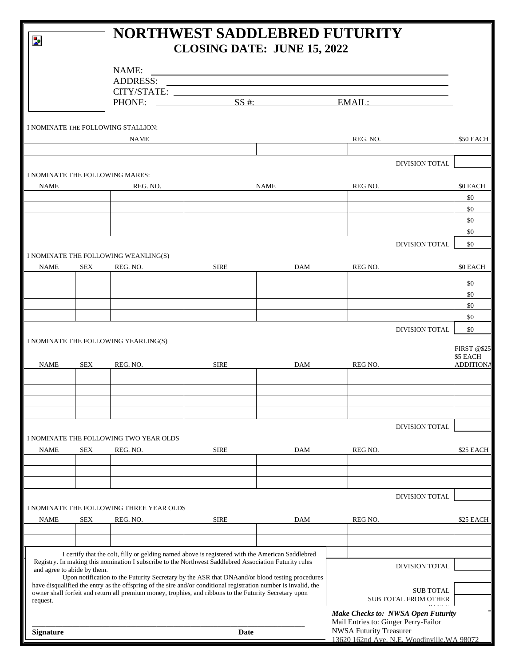| Þ                           |            | <b>NORTHWEST SADDLEBRED FUTURITY</b><br><b>CLOSING DATE: JUNE 15, 2022</b>                                                                                                                                                |                                             |            |                                                                        |                                                    |
|-----------------------------|------------|---------------------------------------------------------------------------------------------------------------------------------------------------------------------------------------------------------------------------|---------------------------------------------|------------|------------------------------------------------------------------------|----------------------------------------------------|
|                             |            | NAME:                                                                                                                                                                                                                     |                                             |            | <u> 1989 - Johann Stoff, amerikansk politiker (d. 1989)</u>            |                                                    |
|                             |            | <b>ADDRESS:</b>                                                                                                                                                                                                           |                                             |            |                                                                        |                                                    |
|                             |            |                                                                                                                                                                                                                           |                                             |            |                                                                        |                                                    |
|                             |            |                                                                                                                                                                                                                           |                                             |            |                                                                        |                                                    |
|                             |            | I NOMINATE THE FOLLOWING STALLION:                                                                                                                                                                                        |                                             |            |                                                                        |                                                    |
|                             |            | NAME                                                                                                                                                                                                                      |                                             |            | REG. NO.                                                               | \$50 EACH                                          |
|                             |            |                                                                                                                                                                                                                           |                                             |            | DIVISION TOTAL                                                         |                                                    |
| <b>NAME</b>                 |            | I NOMINATE THE FOLLOWING MARES:<br>REG. NO.                                                                                                                                                                               |                                             | NAME       | REG NO.                                                                | \$0 EACH                                           |
|                             |            |                                                                                                                                                                                                                           |                                             |            |                                                                        | \$0                                                |
|                             |            |                                                                                                                                                                                                                           |                                             |            |                                                                        | \$0                                                |
|                             |            |                                                                                                                                                                                                                           |                                             |            |                                                                        | \$0                                                |
|                             |            |                                                                                                                                                                                                                           |                                             |            |                                                                        | \$0                                                |
|                             |            |                                                                                                                                                                                                                           |                                             |            | DIVISION TOTAL                                                         | \$0                                                |
|                             |            | I NOMINATE THE FOLLOWING WEANLING(S)                                                                                                                                                                                      |                                             |            |                                                                        |                                                    |
| <b>NAME</b>                 | <b>SEX</b> | REG. NO.                                                                                                                                                                                                                  | <b>SIRE</b>                                 | <b>DAM</b> | REG NO.                                                                | \$0 EACH                                           |
|                             |            |                                                                                                                                                                                                                           |                                             |            |                                                                        | \$0                                                |
|                             |            |                                                                                                                                                                                                                           |                                             |            |                                                                        | \$0                                                |
|                             |            |                                                                                                                                                                                                                           |                                             |            |                                                                        | \$0                                                |
|                             |            |                                                                                                                                                                                                                           |                                             |            |                                                                        | \$0                                                |
| <b>NAME</b>                 | SEX        | REG. NO.                                                                                                                                                                                                                  | SIRE                                        | <b>DAM</b> | REG NO.                                                                | <b>FIRST @\$25</b><br>\$5 EACH<br><b>ADDITIONA</b> |
|                             |            |                                                                                                                                                                                                                           |                                             |            |                                                                        |                                                    |
|                             |            |                                                                                                                                                                                                                           |                                             |            |                                                                        |                                                    |
|                             |            |                                                                                                                                                                                                                           |                                             |            | DIVISION TOTAL                                                         |                                                    |
|                             |            | I NOMINATE THE FOLLOWING TWO YEAR OLDS                                                                                                                                                                                    |                                             |            |                                                                        |                                                    |
| <b>NAME</b>                 | SEX        | REG. NO.                                                                                                                                                                                                                  | <b>SIRE</b>                                 | DAM        | REG NO.                                                                | \$25 EACH                                          |
|                             |            |                                                                                                                                                                                                                           |                                             |            |                                                                        |                                                    |
|                             |            |                                                                                                                                                                                                                           |                                             |            |                                                                        |                                                    |
|                             |            | I NOMINATE THE FOLLOWING THREE YEAR OLDS                                                                                                                                                                                  |                                             |            | DIVISION TOTAL                                                         |                                                    |
| <b>NAME</b>                 | SEX        | REG. NO.                                                                                                                                                                                                                  | <b>SIRE</b>                                 | DAM        | REG NO.                                                                | \$25 EACH                                          |
|                             |            |                                                                                                                                                                                                                           |                                             |            |                                                                        |                                                    |
|                             |            | I certify that the colt, filly or gelding named above is registered with the American Saddlebred                                                                                                                          |                                             |            |                                                                        |                                                    |
| and agree to abide by them. |            | Registry. In making this nomination I subscribe to the Northwest Saddlebred Association Futurity rules                                                                                                                    |                                             |            | DIVISION TOTAL                                                         |                                                    |
|                             |            | Upon notification to the Futurity Secretary by the ASR that DNAand/or blood testing procedures                                                                                                                            |                                             |            |                                                                        |                                                    |
|                             |            | have disqualified the entry as the offspring of the sire and/or conditional registration number is invalid, the<br>owner shall forfeit and return all premium money, trophies, and ribbons to the Futurity Secretary upon |                                             |            | <b>SUB TOTAL</b><br>SUB TOTAL FROM OTHER                               |                                                    |
| request.                    |            |                                                                                                                                                                                                                           |                                             |            | $m + cm$<br>Make Checks to: NWSA Open Futurity                         |                                                    |
| <b>Signature</b>            |            |                                                                                                                                                                                                                           | Date                                        |            | Mail Entries to: Ginger Perry-Failor<br><b>NWSA Futurity Treasurer</b> |                                                    |
|                             |            |                                                                                                                                                                                                                           | 13620 162nd Ave. N.E. Woodinville, WA 98072 |            |                                                                        |                                                    |